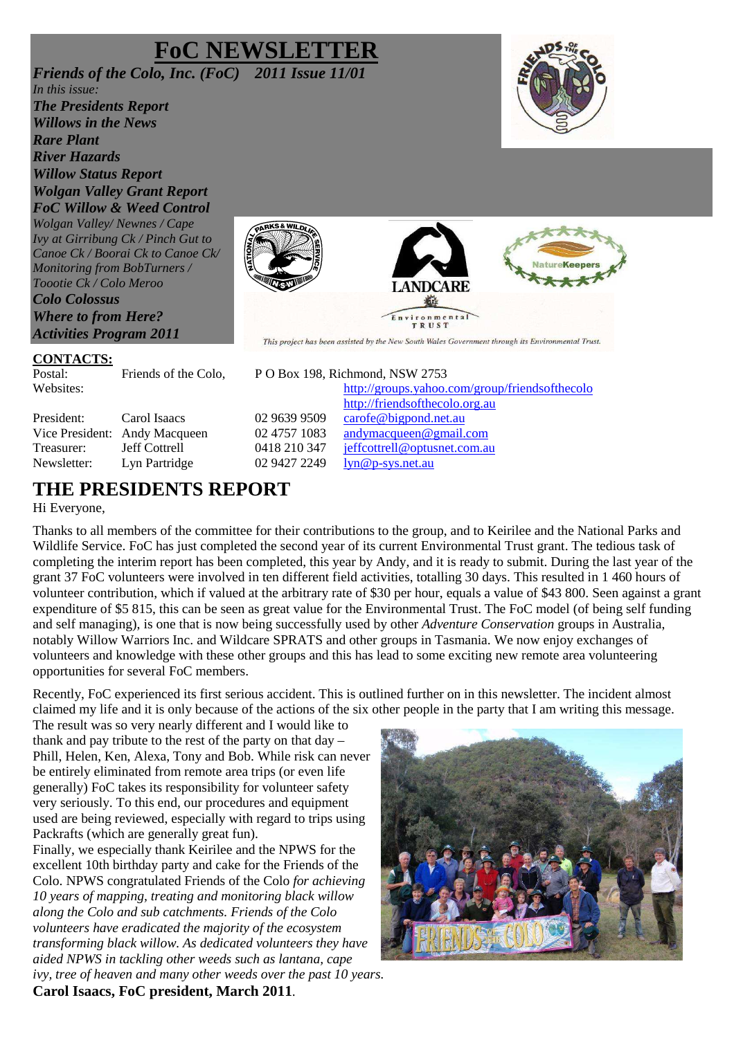# **FoC NEWSLETT**

*Friends of the Colo, Inc. (FoC) 2011 Issue 11/01 In this issue: The Presidents Report Willows in the News Rare Plant River Hazards Willow Status Report Wolgan Valley Grant Report FoC Willow & Weed Control Wolgan Valley/ Newnes / Cape Ivy at Girribung Ck / Pinch Gut to Canoe Ck / Boorai Ck to Canoe Ck/ Monitoring from BobTurners / Toootie Ck / Colo Meroo Colo Colossus Where to from Here? Activities Program 2011* 





#### **CONTACTS:**

Postal: Friends of the Colo, P O Box 198, Richmond, NSW 2753

President: Carol Isaacs 02 9639 9509 carofe@bigpond.net.au Vice President: Andy Macqueen 02 4757 1083 andymacqueen@gmail.com Treasurer: Jeff Cottrell 0418 210 347 jeffcottrell@optusnet.com.au Newsletter: Lyn Partridge 02 9427 2249 lyn@p-sys.net.au

### **THE PRESIDENTS REPORT**

#### Hi Everyone,

Thanks to all members of the committee for their contributions to the group, and to Keirilee and the National Parks and Wildlife Service. FoC has just completed the second year of its current Environmental Trust grant. The tedious task of completing the interim report has been completed, this year by Andy, and it is ready to submit. During the last year of the grant 37 FoC volunteers were involved in ten different field activities, totalling 30 days. This resulted in 1 460 hours of volunteer contribution, which if valued at the arbitrary rate of \$30 per hour, equals a value of \$43 800. Seen against a grant expenditure of \$5 815, this can be seen as great value for the Environmental Trust. The FoC model (of being self funding and self managing), is one that is now being successfully used by other *Adventure Conservation* groups in Australia, notably Willow Warriors Inc. and Wildcare SPRATS and other groups in Tasmania. We now enjoy exchanges of volunteers and knowledge with these other groups and this has lead to some exciting new remote area volunteering opportunities for several FoC members.

Recently, FoC experienced its first serious accident. This is outlined further on in this newsletter. The incident almost claimed my life and it is only because of the actions of the six other people in the party that I am writing this message.

The result was so very nearly different and I would like to thank and pay tribute to the rest of the party on that day – Phill, Helen, Ken, Alexa, Tony and Bob. While risk can never be entirely eliminated from remote area trips (or even life generally) FoC takes its responsibility for volunteer safety very seriously. To this end, our procedures and equipment used are being reviewed, especially with regard to trips using Packrafts (which are generally great fun).

Finally, we especially thank Keirilee and the NPWS for the excellent 10th birthday party and cake for the Friends of the Colo. NPWS congratulated Friends of the Colo *for achieving 10 years of mapping, treating and monitoring black willow along the Colo and sub catchments. Friends of the Colo volunteers have eradicated the majority of the ecosystem transforming black willow. As dedicated volunteers they have aided NPWS in tackling other weeds such as lantana, cape ivy, tree of heaven and many other weeds over the past 10 years.* 

**Carol Isaacs, FoC president, March 2011**.



Websites: http://groups.yahoo.com/group/friendsofthecolo http://friendsofthecolo.org.au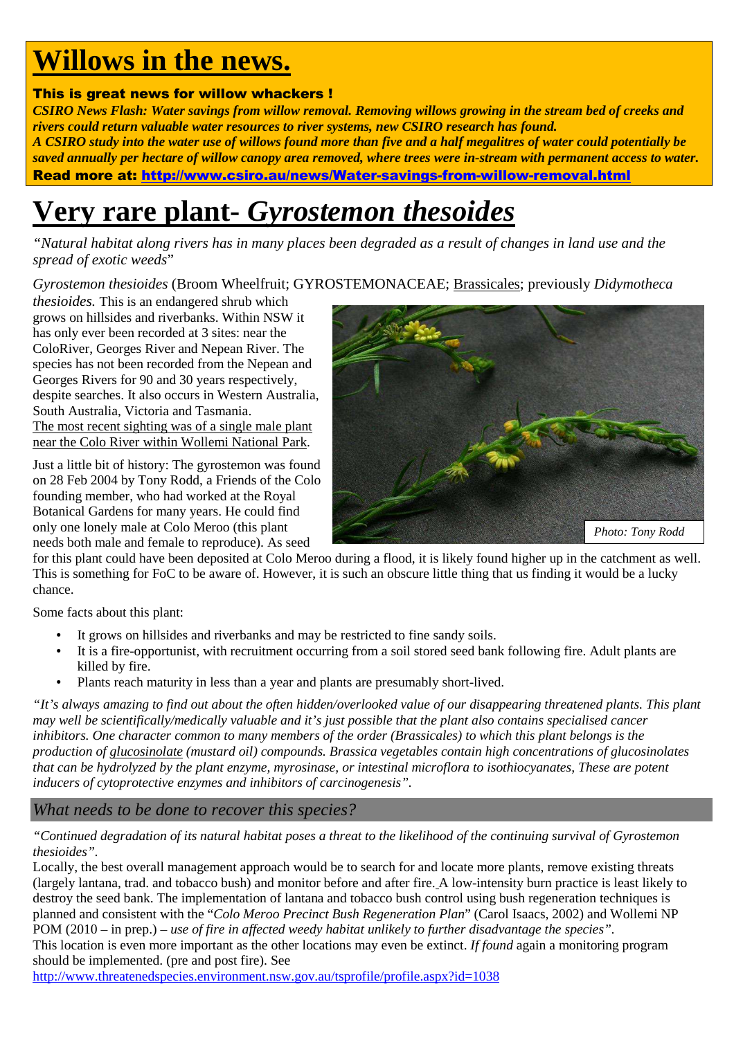# **Willows in the news.**

#### This is great news for willow whackers !

*CSIRO News Flash: Water savings from willow removal. Removing willows growing in the stream bed of creeks and rivers could return valuable water resources to river systems, new CSIRO research has found. A CSIRO study into the water use of willows found more than five and a half megalitres of water could potentially be saved annually per hectare of willow canopy area removed, where trees were in-stream with permanent access to water.*  Read more at: http://www.csiro.au/news/Water-savings-from-willow-removal.html

# **Very rare plant-** *Gyrostemon thesoides*

*"Natural habitat along rivers has in many places been degraded as a result of changes in land use and the spread of exotic weeds*"

*Gyrostemon thesioides* (Broom Wheelfruit; GYROSTEMONACEAE; Brassicales; previously *Didymotheca* 

*thesioides.* This is an endangered shrub which grows on hillsides and riverbanks. Within NSW it has only ever been recorded at 3 sites: near the ColoRiver, Georges River and Nepean River. The species has not been recorded from the Nepean and Georges Rivers for 90 and 30 years respectively, despite searches. It also occurs in Western Australia, South Australia, Victoria and Tasmania. The most recent sighting was of a single male plant near the Colo River within Wollemi National Park.

Just a little bit of history: The gyrostemon was found on 28 Feb 2004 by Tony Rodd, a Friends of the Colo founding member, who had worked at the Royal Botanical Gardens for many years. He could find only one lonely male at Colo Meroo (this plant needs both male and female to reproduce). As seed



for this plant could have been deposited at Colo Meroo during a flood, it is likely found higher up in the catchment as well. This is something for FoC to be aware of. However, it is such an obscure little thing that us finding it would be a lucky chance.

Some facts about this plant:

- It grows on hillsides and riverbanks and may be restricted to fine sandy soils.
- It is a fire-opportunist, with recruitment occurring from a soil stored seed bank following fire. Adult plants are killed by fire.
- Plants reach maturity in less than a year and plants are presumably short-lived.

*"It's always amazing to find out about the often hidden/overlooked value of our disappearing threatened plants. This plant may well be scientifically/medically valuable and it's just possible that the plant also contains specialised cancer inhibitors. One character common to many members of the order (Brassicales) to which this plant belongs is the production of glucosinolate (mustard oil) compounds. Brassica vegetables contain high concentrations of glucosinolates that can be hydrolyzed by the plant enzyme, myrosinase, or intestinal microflora to isothiocyanates, These are potent inducers of cytoprotective enzymes and inhibitors of carcinogenesis".* 

*What needs to be done to recover this species?* 

*"Continued degradation of its natural habitat poses a threat to the likelihood of the continuing survival of Gyrostemon thesioides".* 

Locally, the best overall management approach would be to search for and locate more plants, remove existing threats (largely lantana, trad. and tobacco bush) and monitor before and after fire. A low-intensity burn practice is least likely to destroy the seed bank. The implementation of lantana and tobacco bush control using bush regeneration techniques is planned and consistent with the "*Colo Meroo Precinct Bush Regeneration Plan*" (Carol Isaacs, 2002) and Wollemi NP POM (2010 – in prep.) *– use of fire in affected weedy habitat unlikely to further disadvantage the species".* This location is even more important as the other locations may even be extinct. *If found* again a monitoring program should be implemented. (pre and post fire). See

http://www.threatenedspecies.environment.nsw.gov.au/tsprofile/profile.aspx?id=1038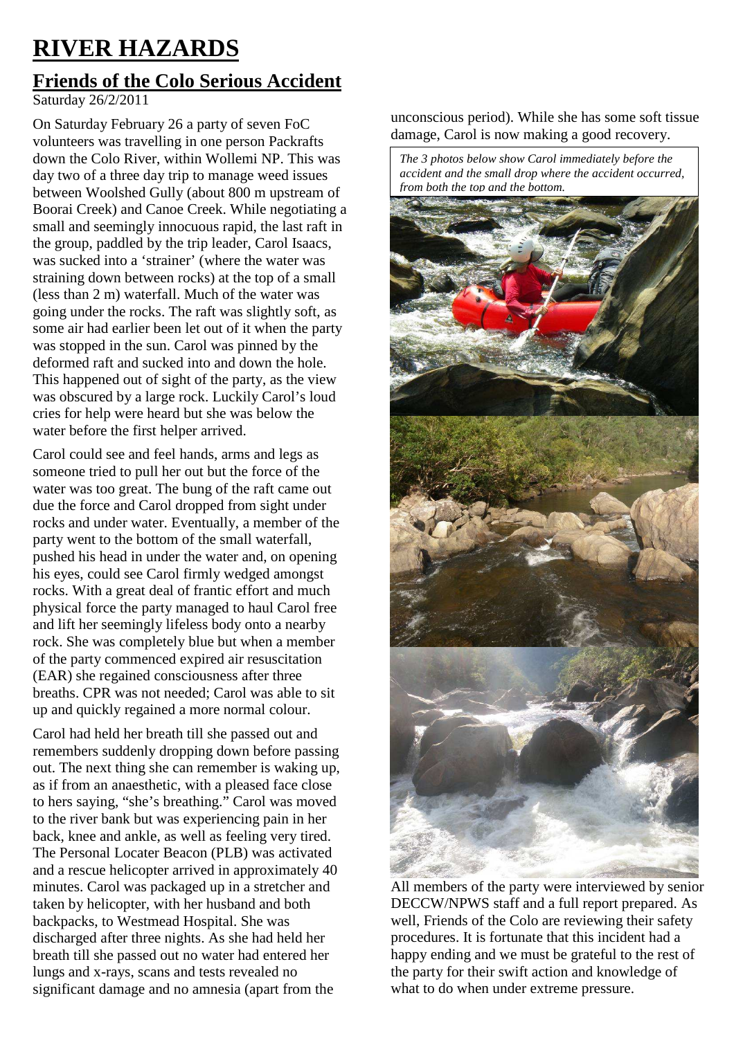# **RIVER HAZARDS**

# **Friends of the Colo Serious Accident**

Saturday 26/2/2011

On Saturday February 26 a party of seven FoC volunteers was travelling in one person Packrafts down the Colo River, within Wollemi NP. This was day two of a three day trip to manage weed issues between Woolshed Gully (about 800 m upstream of Boorai Creek) and Canoe Creek. While negotiating a small and seemingly innocuous rapid, the last raft in the group, paddled by the trip leader, Carol Isaacs, was sucked into a 'strainer' (where the water was straining down between rocks) at the top of a small (less than 2 m) waterfall. Much of the water was going under the rocks. The raft was slightly soft, as some air had earlier been let out of it when the party was stopped in the sun. Carol was pinned by the deformed raft and sucked into and down the hole. This happened out of sight of the party, as the view was obscured by a large rock. Luckily Carol's loud cries for help were heard but she was below the water before the first helper arrived.

Carol could see and feel hands, arms and legs as someone tried to pull her out but the force of the water was too great. The bung of the raft came out due the force and Carol dropped from sight under rocks and under water. Eventually, a member of the party went to the bottom of the small waterfall, pushed his head in under the water and, on opening his eyes, could see Carol firmly wedged amongst rocks. With a great deal of frantic effort and much physical force the party managed to haul Carol free and lift her seemingly lifeless body onto a nearby rock. She was completely blue but when a member of the party commenced expired air resuscitation (EAR) she regained consciousness after three breaths. CPR was not needed; Carol was able to sit up and quickly regained a more normal colour.

Carol had held her breath till she passed out and remembers suddenly dropping down before passing out. The next thing she can remember is waking up, as if from an anaesthetic, with a pleased face close to hers saying, "she's breathing." Carol was moved to the river bank but was experiencing pain in her back, knee and ankle, as well as feeling very tired. The Personal Locater Beacon (PLB) was activated and a rescue helicopter arrived in approximately 40 minutes. Carol was packaged up in a stretcher and taken by helicopter, with her husband and both backpacks, to Westmead Hospital. She was discharged after three nights. As she had held her breath till she passed out no water had entered her lungs and x-rays, scans and tests revealed no significant damage and no amnesia (apart from the

unconscious period). While she has some soft tissue damage, Carol is now making a good recovery.

*The 3 photos below show Carol immediately before the accident and the small drop where the accident occurred, from both the top and the bottom.*



All members of the party were interviewed by senior DECCW/NPWS staff and a full report prepared. As well, Friends of the Colo are reviewing their safety procedures. It is fortunate that this incident had a happy ending and we must be grateful to the rest of the party for their swift action and knowledge of what to do when under extreme pressure.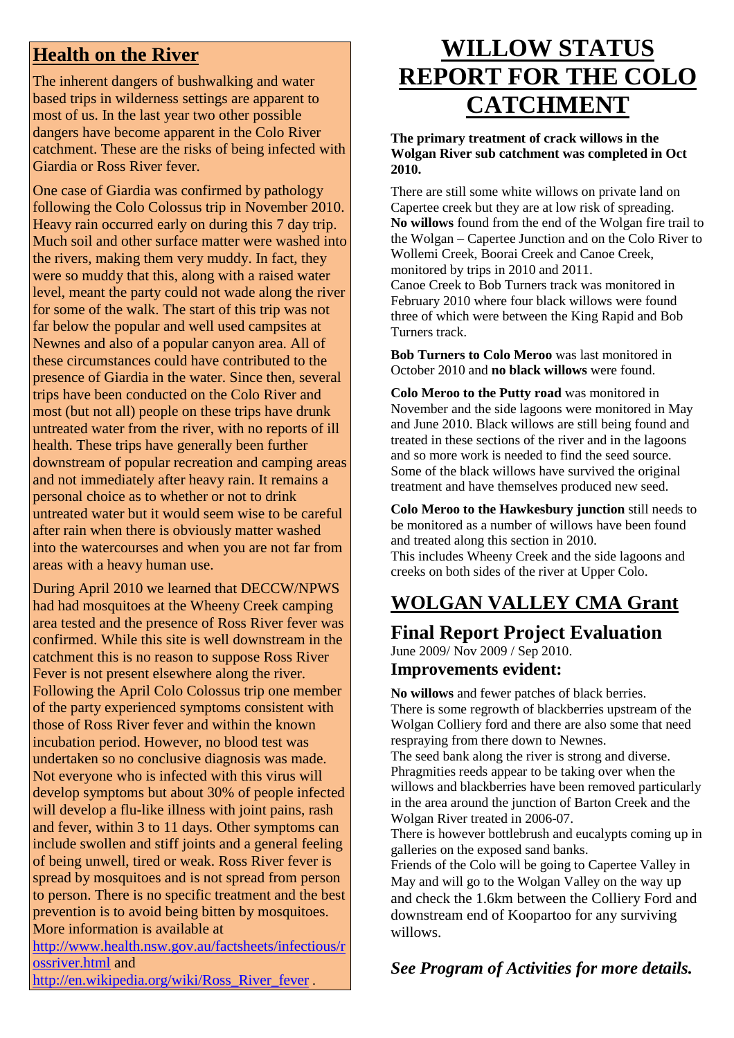### **Health on the River**

The inherent dangers of bushwalking and water based trips in wilderness settings are apparent to most of us. In the last year two other possible dangers have become apparent in the Colo River catchment. These are the risks of being infected with Giardia or Ross River fever.

One case of Giardia was confirmed by pathology following the Colo Colossus trip in November 2010. Heavy rain occurred early on during this 7 day trip. Much soil and other surface matter were washed into the rivers, making them very muddy. In fact, they were so muddy that this, along with a raised water level, meant the party could not wade along the river for some of the walk. The start of this trip was not far below the popular and well used campsites at Newnes and also of a popular canyon area. All of these circumstances could have contributed to the presence of Giardia in the water. Since then, several trips have been conducted on the Colo River and most (but not all) people on these trips have drunk untreated water from the river, with no reports of ill health. These trips have generally been further downstream of popular recreation and camping areas and not immediately after heavy rain. It remains a personal choice as to whether or not to drink untreated water but it would seem wise to be careful after rain when there is obviously matter washed into the watercourses and when you are not far from areas with a heavy human use.

During April 2010 we learned that DECCW/NPWS had had mosquitoes at the Wheeny Creek camping area tested and the presence of Ross River fever was confirmed. While this site is well downstream in the catchment this is no reason to suppose Ross River Fever is not present elsewhere along the river. Following the April Colo Colossus trip one member of the party experienced symptoms consistent with those of Ross River fever and within the known incubation period. However, no blood test was undertaken so no conclusive diagnosis was made. Not everyone who is infected with this virus will develop symptoms but about 30% of people infected will develop a flu-like illness with joint pains, rash and fever, within 3 to 11 days. Other symptoms can include swollen and stiff joints and a general feeling of being unwell, tired or weak. Ross River fever is spread by mosquitoes and is not spread from person to person. There is no specific treatment and the best prevention is to avoid being bitten by mosquitoes. More information is available at

http://www.health.nsw.gov.au/factsheets/infectious/r ossriver.html and

http://en.wikipedia.org/wiki/Ross\_River\_fever .

# **WILLOW STATUS REPORT FOR THE COLO CATCHMENT**

#### **The primary treatment of crack willows in the Wolgan River sub catchment was completed in Oct 2010.**

There are still some white willows on private land on Capertee creek but they are at low risk of spreading. **No willows** found from the end of the Wolgan fire trail to the Wolgan – Capertee Junction and on the Colo River to Wollemi Creek, Boorai Creek and Canoe Creek, monitored by trips in 2010 and 2011.

Canoe Creek to Bob Turners track was monitored in February 2010 where four black willows were found three of which were between the King Rapid and Bob Turners track.

**Bob Turners to Colo Meroo** was last monitored in October 2010 and **no black willows** were found.

**Colo Meroo to the Putty road** was monitored in November and the side lagoons were monitored in May and June 2010. Black willows are still being found and treated in these sections of the river and in the lagoons and so more work is needed to find the seed source. Some of the black willows have survived the original treatment and have themselves produced new seed.

**Colo Meroo to the Hawkesbury junction** still needs to be monitored as a number of willows have been found and treated along this section in 2010. This includes Wheeny Creek and the side lagoons and creeks on both sides of the river at Upper Colo.

# **WOLGAN VALLEY CMA Grant**

# **Final Report Project Evaluation**

June 2009/ Nov 2009 / Sep 2010.

#### **Improvements evident:**

**No willows** and fewer patches of black berries. There is some regrowth of blackberries upstream of the Wolgan Colliery ford and there are also some that need respraying from there down to Newnes.

The seed bank along the river is strong and diverse. Phragmities reeds appear to be taking over when the willows and blackberries have been removed particularly in the area around the junction of Barton Creek and the Wolgan River treated in 2006-07.

There is however bottlebrush and eucalypts coming up in galleries on the exposed sand banks.

Friends of the Colo will be going to Capertee Valley in May and will go to the Wolgan Valley on the way up and check the 1.6km between the Colliery Ford and downstream end of Koopartoo for any surviving willows.

#### *See Program of Activities for more details.*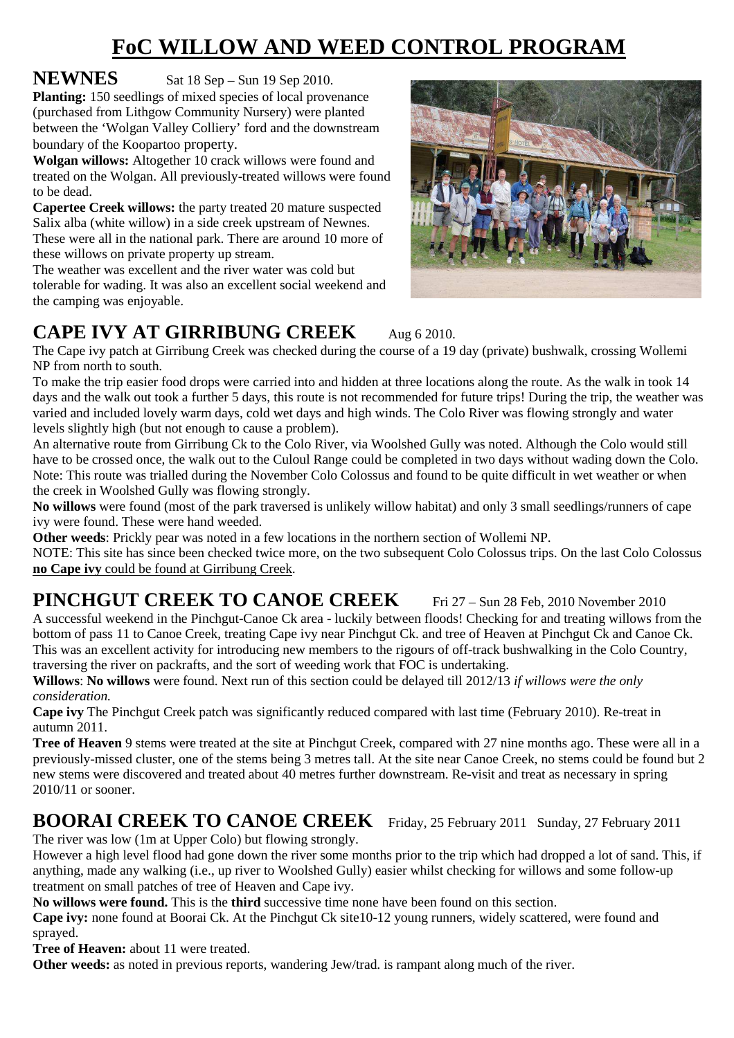# **FoC WILLOW AND WEED CONTROL PROGRAM**

**NEWNES** Sat 18 Sep – Sun 19 Sep 2010.

**Planting:** 150 seedlings of mixed species of local provenance (purchased from Lithgow Community Nursery) were planted between the 'Wolgan Valley Colliery' ford and the downstream boundary of the Koopartoo property.

**Wolgan willows:** Altogether 10 crack willows were found and treated on the Wolgan. All previously-treated willows were found to be dead.

**Capertee Creek willows:** the party treated 20 mature suspected Salix alba (white willow) in a side creek upstream of Newnes. These were all in the national park. There are around 10 more of these willows on private property up stream.

The weather was excellent and the river water was cold but tolerable for wading. It was also an excellent social weekend and the camping was enjoyable.



### **CAPE IVY AT GIRRIBUNG CREEK** Aug 6 2010.

The Cape ivy patch at Girribung Creek was checked during the course of a 19 day (private) bushwalk, crossing Wollemi NP from north to south.

To make the trip easier food drops were carried into and hidden at three locations along the route. As the walk in took 14 days and the walk out took a further 5 days, this route is not recommended for future trips! During the trip, the weather was varied and included lovely warm days, cold wet days and high winds. The Colo River was flowing strongly and water levels slightly high (but not enough to cause a problem).

An alternative route from Girribung Ck to the Colo River, via Woolshed Gully was noted. Although the Colo would still have to be crossed once, the walk out to the Culoul Range could be completed in two days without wading down the Colo. Note: This route was trialled during the November Colo Colossus and found to be quite difficult in wet weather or when the creek in Woolshed Gully was flowing strongly.

**No willows** were found (most of the park traversed is unlikely willow habitat) and only 3 small seedlings/runners of cape ivy were found. These were hand weeded.

**Other weeds**: Prickly pear was noted in a few locations in the northern section of Wollemi NP.

NOTE: This site has since been checked twice more, on the two subsequent Colo Colossus trips. On the last Colo Colossus **no Cape ivy** could be found at Girribung Creek.

# **PINCHGUT CREEK TO CANOE CREEK** Fri 27 – Sun 28 Feb. 2010 November 2010

A successful weekend in the Pinchgut-Canoe Ck area - luckily between floods! Checking for and treating willows from the bottom of pass 11 to Canoe Creek, treating Cape ivy near Pinchgut Ck. and tree of Heaven at Pinchgut Ck and Canoe Ck. This was an excellent activity for introducing new members to the rigours of off-track bushwalking in the Colo Country, traversing the river on packrafts, and the sort of weeding work that FOC is undertaking.

**Willows**: **No willows** were found. Next run of this section could be delayed till 2012/13 *if willows were the only consideration.* 

**Cape ivy** The Pinchgut Creek patch was significantly reduced compared with last time (February 2010). Re-treat in autumn 2011.

**Tree of Heaven** 9 stems were treated at the site at Pinchgut Creek, compared with 27 nine months ago. These were all in a previously-missed cluster, one of the stems being 3 metres tall. At the site near Canoe Creek, no stems could be found but 2 new stems were discovered and treated about 40 metres further downstream. Re-visit and treat as necessary in spring 2010/11 or sooner.

#### **BOORAI CREEK TO CANOE CREEK** Friday, 25 February 2011 Sunday, 27 February 2011 The river was low (1m at Upper Colo) but flowing strongly.

However a high level flood had gone down the river some months prior to the trip which had dropped a lot of sand. This, if anything, made any walking (i.e., up river to Woolshed Gully) easier whilst checking for willows and some follow-up treatment on small patches of tree of Heaven and Cape ivy.

**No willows were found.** This is the **third** successive time none have been found on this section.

**Cape ivy:** none found at Boorai Ck. At the Pinchgut Ck site10-12 young runners, widely scattered, were found and sprayed.

**Tree of Heaven:** about 11 were treated.

**Other weeds:** as noted in previous reports, wandering Jew/trad. is rampant along much of the river.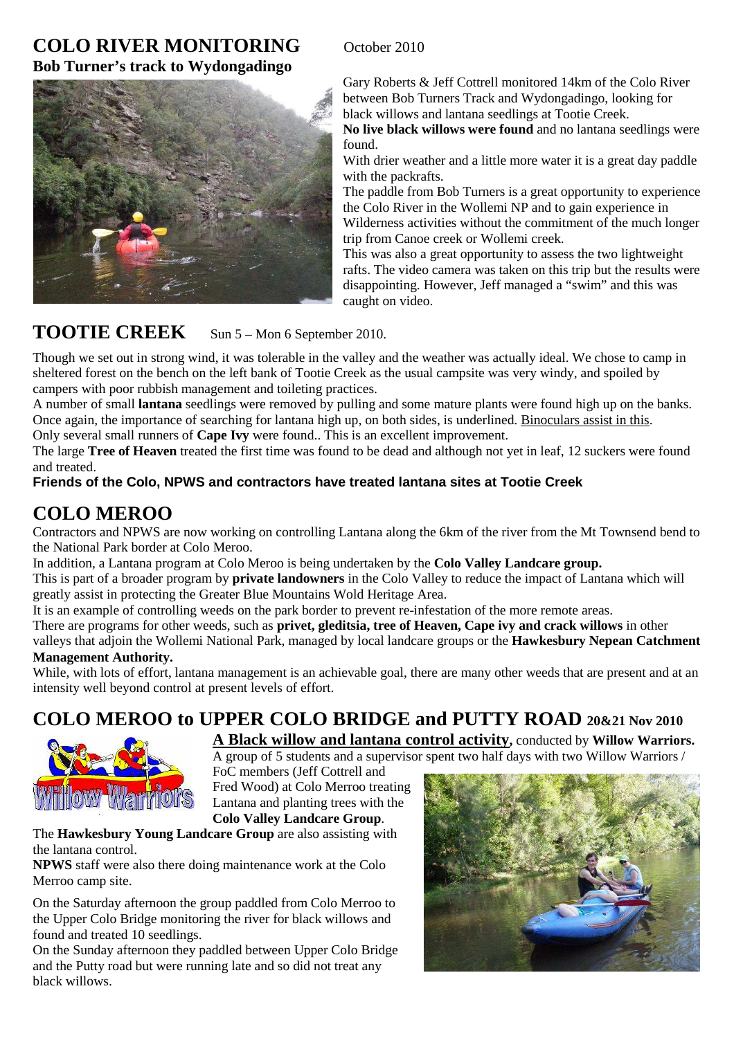#### **COLO RIVER MONITORING** October 2010 **Bob Turner's track to Wydongadingo**



Gary Roberts & Jeff Cottrell monitored 14km of the Colo River between Bob Turners Track and Wydongadingo, looking for black willows and lantana seedlings at Tootie Creek.

**No live black willows were found** and no lantana seedlings were found.

With drier weather and a little more water it is a great day paddle with the packrafts.

The paddle from Bob Turners is a great opportunity to experience the Colo River in the Wollemi NP and to gain experience in Wilderness activities without the commitment of the much longer trip from Canoe creek or Wollemi creek.

This was also a great opportunity to assess the two lightweight rafts. The video camera was taken on this trip but the results were disappointing. However, Jeff managed a "swim" and this was caught on video.

#### TOOTIE CREEK Sun 5 – Mon 6 September 2010.

Though we set out in strong wind, it was tolerable in the valley and the weather was actually ideal. We chose to camp in sheltered forest on the bench on the left bank of Tootie Creek as the usual campsite was very windy, and spoiled by campers with poor rubbish management and toileting practices.

A number of small **lantana** seedlings were removed by pulling and some mature plants were found high up on the banks. Once again, the importance of searching for lantana high up, on both sides, is underlined. Binoculars assist in this. Only several small runners of **Cape Ivy** were found.. This is an excellent improvement.

The large **Tree of Heaven** treated the first time was found to be dead and although not yet in leaf, 12 suckers were found and treated.

#### **Friends of the Colo, NPWS and contractors have treated lantana sites at Tootie Creek**

# **COLO MEROO**

Contractors and NPWS are now working on controlling Lantana along the 6km of the river from the Mt Townsend bend to the National Park border at Colo Meroo.

In addition, a Lantana program at Colo Meroo is being undertaken by the **Colo Valley Landcare group.** 

This is part of a broader program by **private landowners** in the Colo Valley to reduce the impact of Lantana which will greatly assist in protecting the Greater Blue Mountains Wold Heritage Area.

It is an example of controlling weeds on the park border to prevent re-infestation of the more remote areas.

There are programs for other weeds, such as **privet, gleditsia, tree of Heaven, Cape ivy and crack willows** in other valleys that adjoin the Wollemi National Park, managed by local landcare groups or the **Hawkesbury Nepean Catchment Management Authority.** 

#### While, with lots of effort, lantana management is an achievable goal, there are many other weeds that are present and at an intensity well beyond control at present levels of effort.

# **COLO MEROO to UPPER COLO BRIDGE and PUTTY ROAD 20&21 Nov 2010**



**A Black willow and lantana control activity,** conducted by **Willow Warriors.** A group of 5 students and a supervisor spent two half days with two Willow Warriors /

FoC members (Jeff Cottrell and Fred Wood) at Colo Merroo treating Lantana and planting trees with the **Colo Valley Landcare Group**.

#### The **Hawkesbury Young Landcare Group** are also assisting with the lantana control.

**NPWS** staff were also there doing maintenance work at the Colo Merroo camp site.

On the Saturday afternoon the group paddled from Colo Merroo to the Upper Colo Bridge monitoring the river for black willows and found and treated 10 seedlings.

On the Sunday afternoon they paddled between Upper Colo Bridge and the Putty road but were running late and so did not treat any black willows.

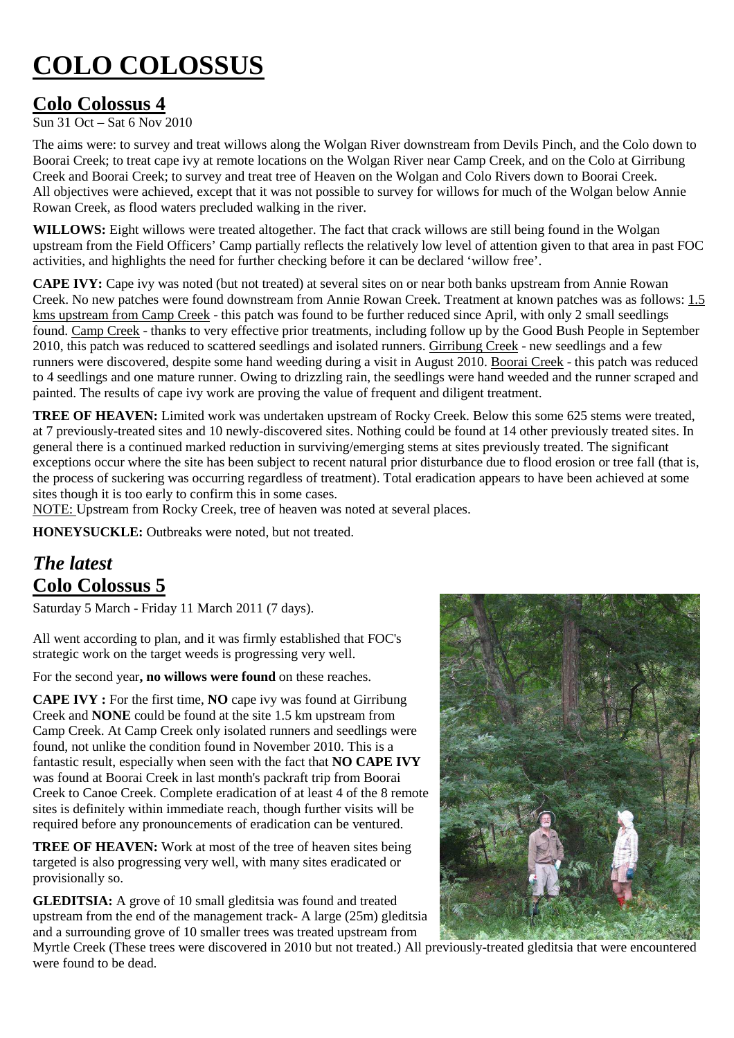# **COLO COLOSSUS**

### **Colo Colossus 4**

 $\overline{\text{Sun 31 Oct}} - \overline{\text{Sat 6 Now 2010}}$ 

The aims were: to survey and treat willows along the Wolgan River downstream from Devils Pinch, and the Colo down to Boorai Creek; to treat cape ivy at remote locations on the Wolgan River near Camp Creek, and on the Colo at Girribung Creek and Boorai Creek; to survey and treat tree of Heaven on the Wolgan and Colo Rivers down to Boorai Creek. All objectives were achieved, except that it was not possible to survey for willows for much of the Wolgan below Annie Rowan Creek, as flood waters precluded walking in the river.

WILLOWS: Eight willows were treated altogether. The fact that crack willows are still being found in the Wolgan upstream from the Field Officers' Camp partially reflects the relatively low level of attention given to that area in past FOC activities, and highlights the need for further checking before it can be declared 'willow free'.

**CAPE IVY:** Cape ivy was noted (but not treated) at several sites on or near both banks upstream from Annie Rowan Creek. No new patches were found downstream from Annie Rowan Creek. Treatment at known patches was as follows: 1.5 kms upstream from Camp Creek - this patch was found to be further reduced since April, with only 2 small seedlings found. Camp Creek - thanks to very effective prior treatments, including follow up by the Good Bush People in September 2010, this patch was reduced to scattered seedlings and isolated runners. Girribung Creek - new seedlings and a few runners were discovered, despite some hand weeding during a visit in August 2010. Boorai Creek - this patch was reduced to 4 seedlings and one mature runner. Owing to drizzling rain, the seedlings were hand weeded and the runner scraped and painted. The results of cape ivy work are proving the value of frequent and diligent treatment.

**TREE OF HEAVEN:** Limited work was undertaken upstream of Rocky Creek. Below this some 625 stems were treated, at 7 previously-treated sites and 10 newly-discovered sites. Nothing could be found at 14 other previously treated sites. In general there is a continued marked reduction in surviving/emerging stems at sites previously treated. The significant exceptions occur where the site has been subject to recent natural prior disturbance due to flood erosion or tree fall (that is, the process of suckering was occurring regardless of treatment). Total eradication appears to have been achieved at some sites though it is too early to confirm this in some cases.

NOTE: Upstream from Rocky Creek, tree of heaven was noted at several places.

**HONEYSUCKLE:** Outbreaks were noted, but not treated.

# *The latest*  **Colo Colossus 5**

Saturday 5 March - Friday 11 March 2011 (7 days).

All went according to plan, and it was firmly established that FOC's strategic work on the target weeds is progressing very well.

For the second year**, no willows were found** on these reaches.

**CAPE IVY :** For the first time, **NO** cape ivy was found at Girribung Creek and **NONE** could be found at the site 1.5 km upstream from Camp Creek. At Camp Creek only isolated runners and seedlings were found, not unlike the condition found in November 2010. This is a fantastic result, especially when seen with the fact that **NO CAPE IVY** was found at Boorai Creek in last month's packraft trip from Boorai Creek to Canoe Creek. Complete eradication of at least 4 of the 8 remote sites is definitely within immediate reach, though further visits will be required before any pronouncements of eradication can be ventured.

**TREE OF HEAVEN:** Work at most of the tree of heaven sites being targeted is also progressing very well, with many sites eradicated or provisionally so.

**GLEDITSIA:** A grove of 10 small gleditsia was found and treated upstream from the end of the management track- A large (25m) gleditsia and a surrounding grove of 10 smaller trees was treated upstream from



Myrtle Creek (These trees were discovered in 2010 but not treated.) All previously-treated gleditsia that were encountered were found to be dead.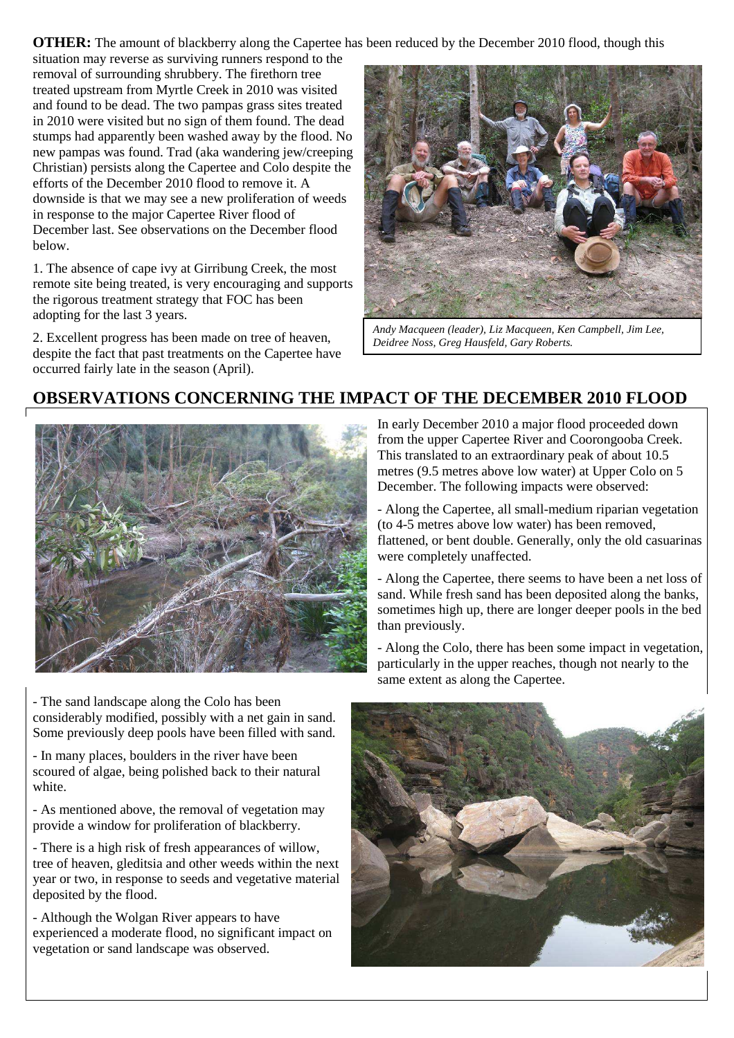**OTHER:** The amount of blackberry along the Capertee has been reduced by the December 2010 flood, though this

situation may reverse as surviving runners respond to the removal of surrounding shrubbery. The firethorn tree treated upstream from Myrtle Creek in 2010 was visited and found to be dead. The two pampas grass sites treated in 2010 were visited but no sign of them found. The dead stumps had apparently been washed away by the flood. No new pampas was found. Trad (aka wandering jew/creeping Christian) persists along the Capertee and Colo despite the efforts of the December 2010 flood to remove it. A downside is that we may see a new proliferation of weeds in response to the major Capertee River flood of December last. See observations on the December flood below.

1. The absence of cape ivy at Girribung Creek, the most remote site being treated, is very encouraging and supports the rigorous treatment strategy that FOC has been adopting for the last 3 years.

2. Excellent progress has been made on tree of heaven, despite the fact that past treatments on the Capertee have occurred fairly late in the season (April).



*Andy Macqueen (leader), Liz Macqueen, Ken Campbell, Jim Lee, Deidree Noss, Greg Hausfeld, Gary Roberts.* 

#### **OBSERVATIONS CONCERNING THE IMPACT OF THE DECEMBER 2010 FLOOD**



- The sand landscape along the Colo has been considerably modified, possibly with a net gain in sand. Some previously deep pools have been filled with sand.

- In many places, boulders in the river have been scoured of algae, being polished back to their natural white.

- As mentioned above, the removal of vegetation may provide a window for proliferation of blackberry.

- There is a high risk of fresh appearances of willow, tree of heaven, gleditsia and other weeds within the next year or two, in response to seeds and vegetative material deposited by the flood.

- Although the Wolgan River appears to have experienced a moderate flood, no significant impact on vegetation or sand landscape was observed.

In early December 2010 a major flood proceeded down from the upper Capertee River and Coorongooba Creek. This translated to an extraordinary peak of about 10.5 metres (9.5 metres above low water) at Upper Colo on 5 December. The following impacts were observed:

- Along the Capertee, all small-medium riparian vegetation (to 4-5 metres above low water) has been removed, flattened, or bent double. Generally, only the old casuarinas were completely unaffected.

- Along the Capertee, there seems to have been a net loss of sand. While fresh sand has been deposited along the banks, sometimes high up, there are longer deeper pools in the bed than previously.

- Along the Colo, there has been some impact in vegetation, particularly in the upper reaches, though not nearly to the same extent as along the Capertee.

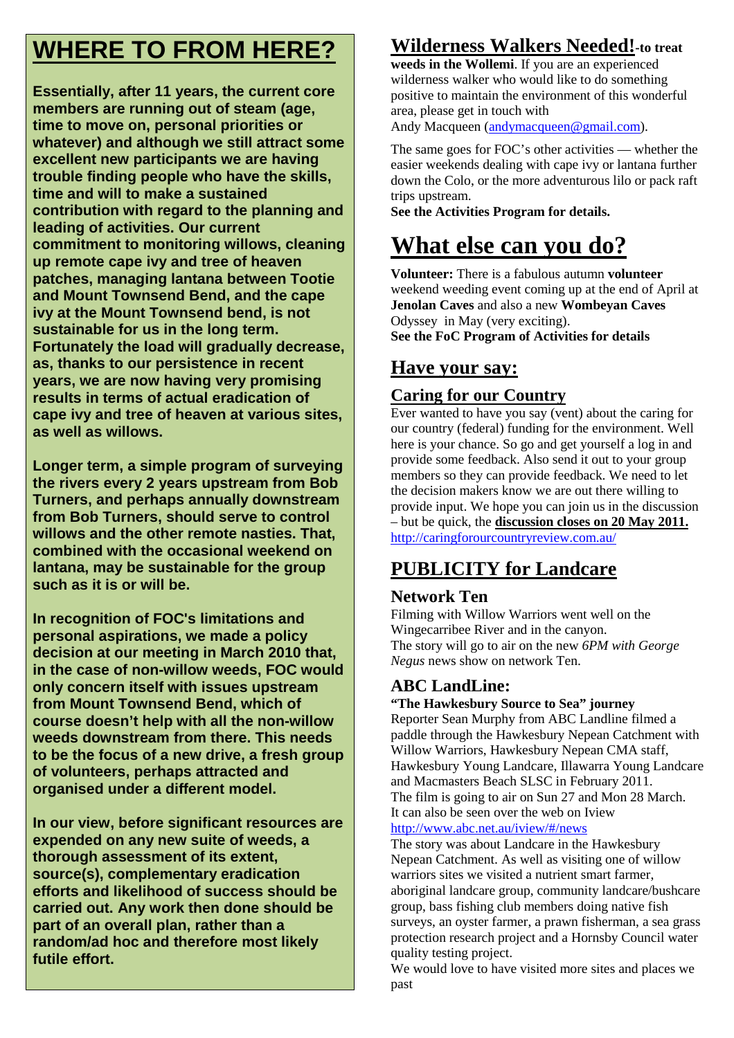# **WHERE TO FROM HERE?**

**Essentially, after 11 years, the current core members are running out of steam (age, time to move on, personal priorities or whatever) and although we still attract some excellent new participants we are having trouble finding people who have the skills, time and will to make a sustained contribution with regard to the planning and leading of activities. Our current commitment to monitoring willows, cleaning up remote cape ivy and tree of heaven patches, managing lantana between Tootie and Mount Townsend Bend, and the cape ivy at the Mount Townsend bend, is not sustainable for us in the long term. Fortunately the load will gradually decrease, as, thanks to our persistence in recent years, we are now having very promising results in terms of actual eradication of cape ivy and tree of heaven at various sites, as well as willows.** 

**Longer term, a simple program of surveying the rivers every 2 years upstream from Bob Turners, and perhaps annually downstream from Bob Turners, should serve to control willows and the other remote nasties. That, combined with the occasional weekend on lantana, may be sustainable for the group such as it is or will be.** 

**In recognition of FOC's limitations and personal aspirations, we made a policy decision at our meeting in March 2010 that, in the case of non-willow weeds, FOC would only concern itself with issues upstream from Mount Townsend Bend, which of course doesn't help with all the non-willow weeds downstream from there. This needs to be the focus of a new drive, a fresh group of volunteers, perhaps attracted and organised under a different model.** 

**In our view, before significant resources are expended on any new suite of weeds, a thorough assessment of its extent, source(s), complementary eradication efforts and likelihood of success should be carried out. Any work then done should be part of an overall plan, rather than a random/ad hoc and therefore most likely futile effort.** 

# **Wilderness Walkers Needed!-to treat**

**weeds in the Wollemi**. If you are an experienced wilderness walker who would like to do something positive to maintain the environment of this wonderful area, please get in touch with

Andy Macqueen (andymacqueen@gmail.com).

The same goes for FOC's other activities — whether the easier weekends dealing with cape ivy or lantana further down the Colo, or the more adventurous lilo or pack raft trips upstream.

**See the Activities Program for details.** 

# **What else can you do?**

**Volunteer:** There is a fabulous autumn **volunteer**  weekend weeding event coming up at the end of April at **Jenolan Caves** and also a new **Wombeyan Caves**  Odyssey in May (very exciting). **See the FoC Program of Activities for details** 

### **Have your say:**

#### **Caring for our Country**

Ever wanted to have you say (vent) about the caring for our country (federal) funding for the environment. Well here is your chance. So go and get yourself a log in and provide some feedback. Also send it out to your group members so they can provide feedback. We need to let the decision makers know we are out there willing to provide input. We hope you can join us in the discussion – but be quick, the **discussion closes on 20 May 2011.** http://caringforourcountryreview.com.au/

# **PUBLICITY for Landcare**

#### **Network Ten**

Filming with Willow Warriors went well on the Wingecarribee River and in the canyon. The story will go to air on the new *6PM with George Negus* news show on network Ten.

#### **ABC LandLine:**

**"The Hawkesbury Source to Sea" journey** 

Reporter Sean Murphy from ABC Landline filmed a paddle through the Hawkesbury Nepean Catchment with Willow Warriors, Hawkesbury Nepean CMA staff, Hawkesbury Young Landcare, Illawarra Young Landcare and Macmasters Beach SLSC in February 2011. The film is going to air on Sun 27 and Mon 28 March. It can also be seen over the web on Iview http://www.abc.net.au/iview/#/news

The story was about Landcare in the Hawkesbury Nepean Catchment. As well as visiting one of willow warriors sites we visited a nutrient smart farmer. aboriginal landcare group, community landcare/bushcare group, bass fishing club members doing native fish surveys, an oyster farmer, a prawn fisherman, a sea grass protection research project and a Hornsby Council water quality testing project.

We would love to have visited more sites and places we past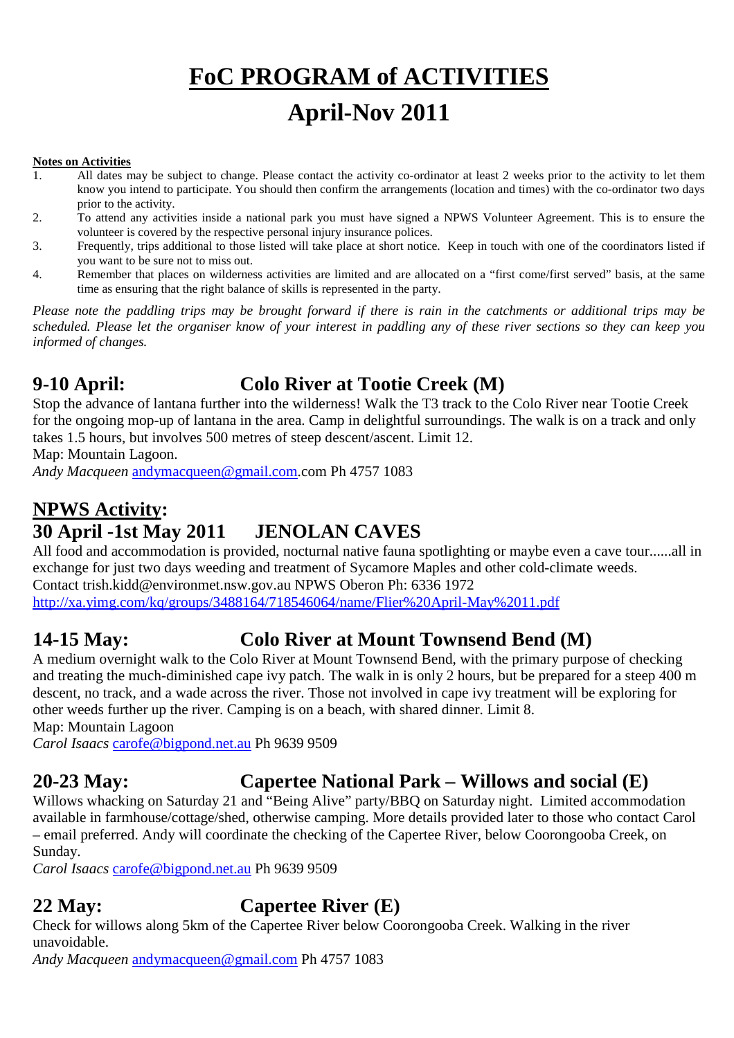# **FoC PROGRAM of ACTIVITIES April-Nov 2011**

#### **Notes on Activities**

- 1. All dates may be subject to change. Please contact the activity co-ordinator at least 2 weeks prior to the activity to let them know you intend to participate. You should then confirm the arrangements (location and times) with the co-ordinator two days prior to the activity.
- 2. To attend any activities inside a national park you must have signed a NPWS Volunteer Agreement. This is to ensure the volunteer is covered by the respective personal injury insurance polices.
- 3. Frequently, trips additional to those listed will take place at short notice. Keep in touch with one of the coordinators listed if you want to be sure not to miss out.
- 4. Remember that places on wilderness activities are limited and are allocated on a "first come/first served" basis, at the same time as ensuring that the right balance of skills is represented in the party.

*Please note the paddling trips may be brought forward if there is rain in the catchments or additional trips may be scheduled. Please let the organiser know of your interest in paddling any of these river sections so they can keep you informed of changes.* 

# **9-10 April: Colo River at Tootie Creek (M)**

Stop the advance of lantana further into the wilderness! Walk the T3 track to the Colo River near Tootie Creek for the ongoing mop-up of lantana in the area. Camp in delightful surroundings. The walk is on a track and only takes 1.5 hours, but involves 500 metres of steep descent/ascent. Limit 12.

Map: Mountain Lagoon.

*Andy Macqueen* andymacqueen@gmail.com.com Ph 4757 1083

# **NPWS Activity: 30 April -1st May 2011 JENOLAN CAVES**

All food and accommodation is provided, nocturnal native fauna spotlighting or maybe even a cave tour......all in exchange for just two days weeding and treatment of Sycamore Maples and other cold-climate weeds.

Contact trish.kidd@environmet.nsw.gov.au NPWS Oberon Ph: 6336 1972

http://xa.yimg.com/kq/groups/3488164/718546064/name/Flier%20April-May%2011.pdf

# **14-15 May: Colo River at Mount Townsend Bend (M)**

A medium overnight walk to the Colo River at Mount Townsend Bend, with the primary purpose of checking and treating the much-diminished cape ivy patch. The walk in is only 2 hours, but be prepared for a steep 400 m descent, no track, and a wade across the river. Those not involved in cape ivy treatment will be exploring for other weeds further up the river. Camping is on a beach, with shared dinner. Limit 8.

Map: Mountain Lagoon

*Carol Isaacs* carofe@bigpond.net.au Ph 9639 9509

# **20-23 May: Capertee National Park – Willows and social (E)**

Willows whacking on Saturday 21 and "Being Alive" party/BBQ on Saturday night. Limited accommodation available in farmhouse/cottage/shed, otherwise camping. More details provided later to those who contact Carol – email preferred. Andy will coordinate the checking of the Capertee River, below Coorongooba Creek, on Sunday.

*Carol Isaacs* carofe@bigpond.net.au Ph 9639 9509

### **22 May: Capertee River (E)**

Check for willows along 5km of the Capertee River below Coorongooba Creek. Walking in the river unavoidable.

*Andy Macqueen* andymacqueen@gmail.com Ph 4757 1083